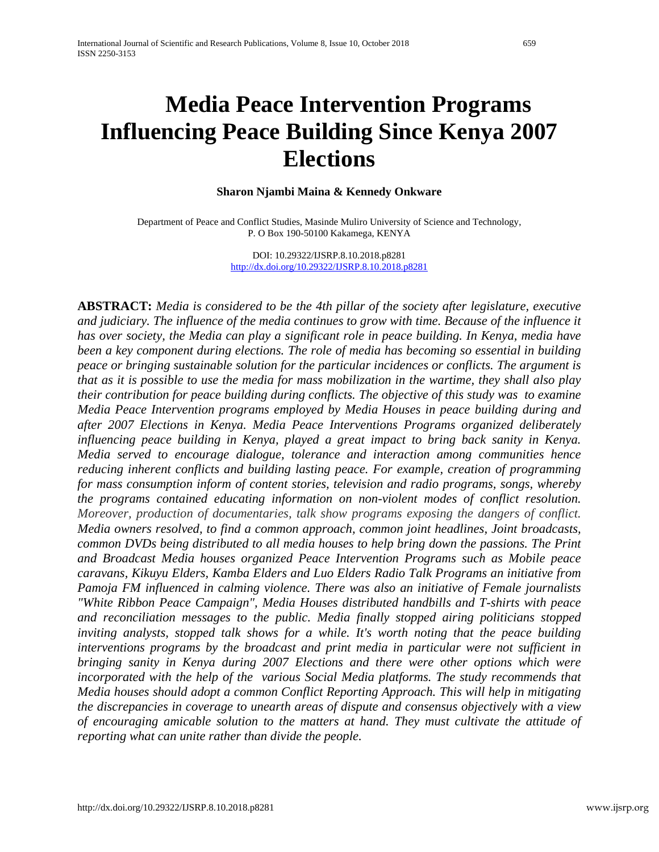# **Media Peace Intervention Programs Influencing Peace Building Since Kenya 2007 Elections**

#### **Sharon Njambi Maina & Kennedy Onkware**

Department of Peace and Conflict Studies, Masinde Muliro University of Science and Technology, P. O Box 190-50100 Kakamega, KENYA

> DOI: 10.29322/IJSRP.8.10.2018.p8281 <http://dx.doi.org/10.29322/IJSRP.8.10.2018.p8281>

**ABSTRACT:** *Media is considered to be the 4th pillar of the society after legislature, executive and judiciary. The influence of the media continues to grow with time. Because of the influence it has over society, the Media can play a significant role in peace building. In Kenya, media have been a key component during elections. The role of media has becoming so essential in building peace or bringing sustainable solution for the particular incidences or conflicts. The argument is that as it is possible to use the media for mass mobilization in the wartime, they shall also play their contribution for peace building during conflicts. The objective of this study was to examine Media Peace Intervention programs employed by Media Houses in peace building during and after 2007 Elections in Kenya. Media Peace Interventions Programs organized deliberately influencing peace building in Kenya, played a great impact to bring back sanity in Kenya. Media served to encourage dialogue, tolerance and interaction among communities hence reducing inherent conflicts and building lasting peace. For example, creation of programming for mass consumption inform of content stories, television and radio programs, songs, whereby the programs contained educating information on non-violent modes of conflict resolution. Moreover, production of documentaries, talk show programs exposing the dangers of conflict. Media owners resolved, to find a common approach, common joint headlines, Joint broadcasts, common DVDs being distributed to all media houses to help bring down the passions. The Print and Broadcast Media houses organized Peace Intervention Programs such as Mobile peace caravans, Kikuyu Elders, Kamba Elders and Luo Elders Radio Talk Programs an initiative from Pamoja FM influenced in calming violence. There was also an initiative of Female journalists "White Ribbon Peace Campaign", Media Houses distributed handbills and T-shirts with peace and reconciliation messages to the public. Media finally stopped airing politicians stopped inviting analysts, stopped talk shows for a while. It's worth noting that the peace building interventions programs by the broadcast and print media in particular were not sufficient in bringing sanity in Kenya during 2007 Elections and there were other options which were incorporated with the help of the various Social Media platforms. The study recommends that Media houses should adopt a common Conflict Reporting Approach. This will help in mitigating the discrepancies in coverage to unearth areas of dispute and consensus objectively with a view of encouraging amicable solution to the matters at hand. They must cultivate the attitude of reporting what can unite rather than divide the people.*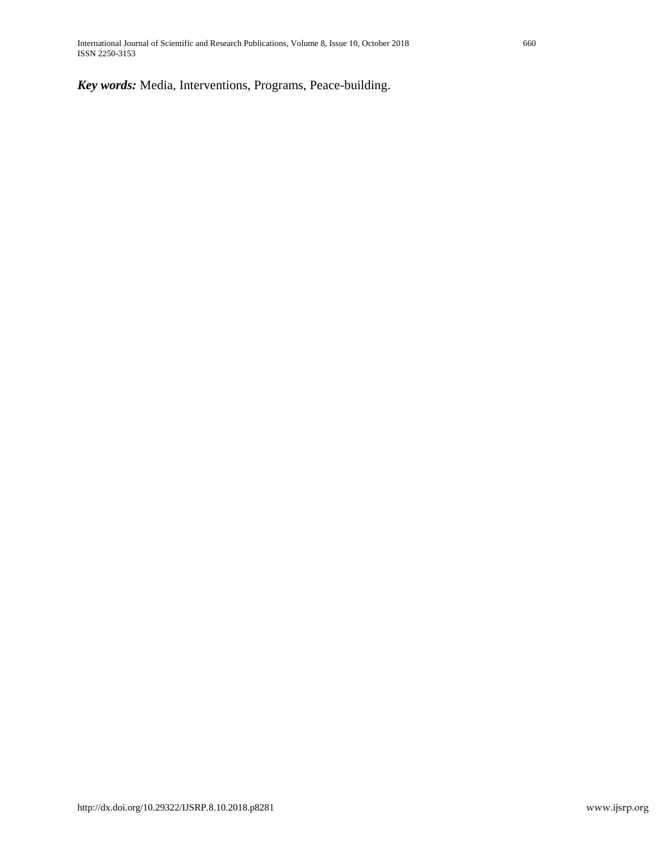*Key words:* Media, Interventions, Programs, Peace-building.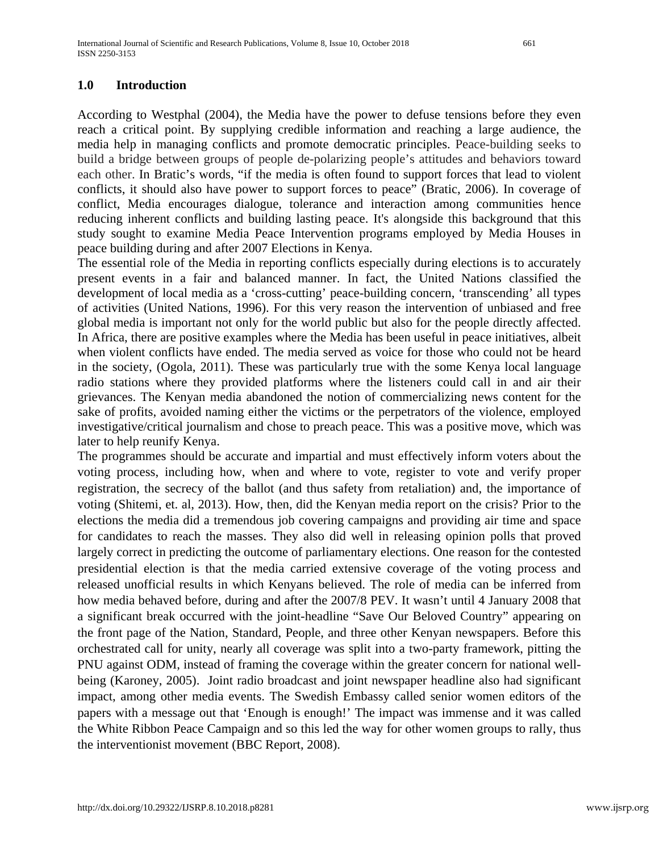## **1.0 Introduction**

According to Westphal (2004), the Media have the power to defuse tensions before they even reach a critical point. By supplying credible information and reaching a large audience, the media help in managing conflicts and promote democratic principles. Peace-building seeks to build a bridge between groups of people de-polarizing people's attitudes and behaviors toward each other. In Bratic's words, "if the media is often found to support forces that lead to violent conflicts, it should also have power to support forces to peace" (Bratic, 2006). In coverage of conflict, Media encourages dialogue, tolerance and interaction among communities hence reducing inherent conflicts and building lasting peace. It's alongside this background that this study sought to examine Media Peace Intervention programs employed by Media Houses in peace building during and after 2007 Elections in Kenya.

The essential role of the Media in reporting conflicts especially during elections is to accurately present events in a fair and balanced manner. In fact, the United Nations classified the development of local media as a 'cross-cutting' peace-building concern, 'transcending' all types of activities (United Nations, 1996). For this very reason the intervention of unbiased and free global media is important not only for the world public but also for the people directly affected. In Africa, there are positive examples where the Media has been useful in peace initiatives, albeit when violent conflicts have ended. The media served as voice for those who could not be heard in the society, (Ogola, 2011). These was particularly true with the some Kenya local language radio stations where they provided platforms where the listeners could call in and air their grievances. The Kenyan media abandoned the notion of commercializing news content for the sake of profits, avoided naming either the victims or the perpetrators of the violence, employed investigative/critical journalism and chose to preach peace. This was a positive move, which was later to help reunify Kenya.

The programmes should be accurate and impartial and must effectively inform voters about the voting process, including how, when and where to vote, register to vote and verify proper registration, the secrecy of the ballot (and thus safety from retaliation) and, the importance of voting (Shitemi, et. al, 2013). How, then, did the Kenyan media report on the crisis? Prior to the elections the media did a tremendous job covering campaigns and providing air time and space for candidates to reach the masses. They also did well in releasing opinion polls that proved largely correct in predicting the outcome of parliamentary elections. One reason for the contested presidential election is that the media carried extensive coverage of the voting process and released unofficial results in which Kenyans believed. The role of media can be inferred from how media behaved before, during and after the 2007/8 PEV. It wasn't until 4 January 2008 that a significant break occurred with the joint-headline "Save Our Beloved Country" appearing on the front page of the Nation, Standard, People, and three other Kenyan newspapers. Before this orchestrated call for unity, nearly all coverage was split into a two-party framework, pitting the PNU against ODM, instead of framing the coverage within the greater concern for national wellbeing (Karoney, 2005). Joint radio broadcast and joint newspaper headline also had significant impact, among other media events. The Swedish Embassy called senior women editors of the papers with a message out that 'Enough is enough!' The impact was immense and it was called the White Ribbon Peace Campaign and so this led the way for other women groups to rally, thus the interventionist movement (BBC Report, 2008).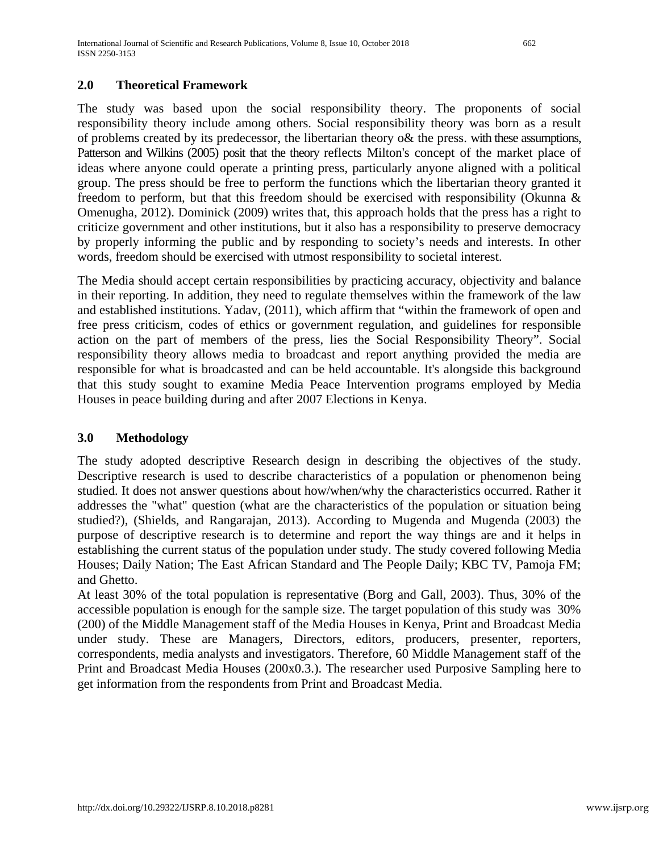## **2.0 Theoretical Framework**

The study was based upon the social responsibility theory. The proponents of social responsibility theory include among others. Social responsibility theory was born as a result of problems created by its predecessor, the libertarian theory o& the press. with these assumptions, Patterson and Wilkins (2005) posit that the theory reflects Milton's concept of the market place of ideas where anyone could operate a printing press, particularly anyone aligned with a political group. The press should be free to perform the functions which the libertarian theory granted it freedom to perform, but that this freedom should be exercised with responsibility (Okunna & Omenugha, 2012). Dominick (2009) writes that, this approach holds that the press has a right to criticize government and other institutions, but it also has a responsibility to preserve democracy by properly informing the public and by responding to society's needs and interests. In other words, freedom should be exercised with utmost responsibility to societal interest.

The Media should accept certain responsibilities by practicing accuracy, objectivity and balance in their reporting. In addition, they need to regulate themselves within the framework of the law and established institutions. Yadav, (2011), which affirm that "within the framework of open and free press criticism, codes of ethics or government regulation, and guidelines for responsible action on the part of members of the press, lies the Social Responsibility Theory". Social responsibility theory allows media to broadcast and report anything provided the media are responsible for what is broadcasted and can be held accountable. It's alongside this background that this study sought to examine Media Peace Intervention programs employed by Media Houses in peace building during and after 2007 Elections in Kenya.

#### **3.0 Methodology**

The study adopted descriptive Research design in describing the objectives of the study. Descriptive research is used to describe characteristics of a population or phenomenon being studied. It does not answer questions about how/when/why the characteristics occurred. Rather it addresses the "what" question (what are the characteristics of the population or situation being studied?), (Shields, and Rangarajan, 2013). According to Mugenda and Mugenda (2003) the purpose of descriptive research is to determine and report the way things are and it helps in establishing the current status of the population under study. The study covered following Media Houses; Daily Nation; The East African Standard and The People Daily; KBC TV, Pamoja FM; and Ghetto.

At least 30% of the total population is representative (Borg and Gall, 2003). Thus, 30% of the accessible population is enough for the sample size. The target population of this study was 30% (200) of the Middle Management staff of the Media Houses in Kenya, Print and Broadcast Media under study. These are Managers, Directors, editors, producers, presenter, reporters, correspondents, media analysts and investigators. Therefore, 60 Middle Management staff of the Print and Broadcast Media Houses (200x0.3.). The researcher used Purposive Sampling here to get information from the respondents from Print and Broadcast Media.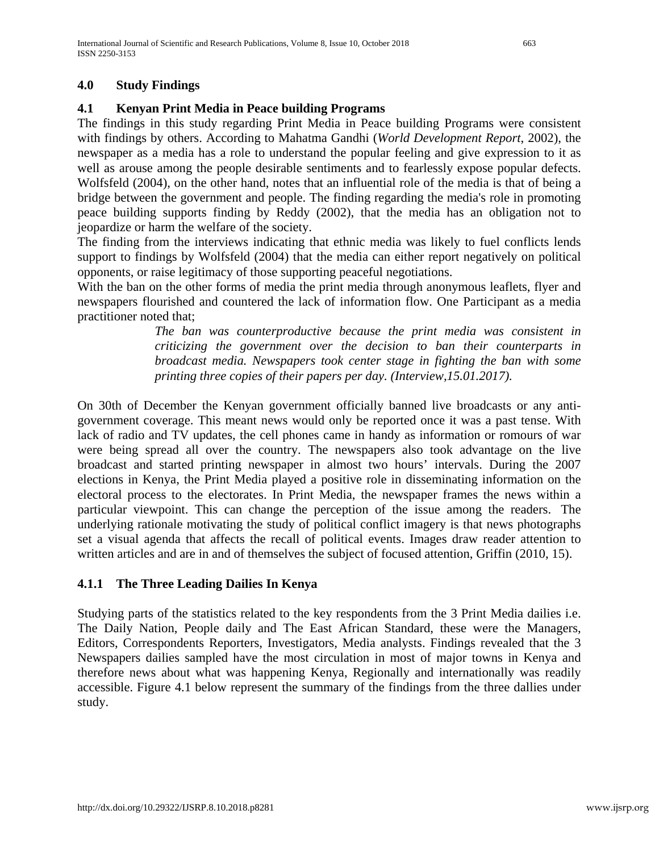## **4.0 Study Findings**

## **4.1 Kenyan Print Media in Peace building Programs**

The findings in this study regarding Print Media in Peace building Programs were consistent with findings by others. According to Mahatma Gandhi (*World Development Report*, 2002), the newspaper as a media has a role to understand the popular feeling and give expression to it as well as arouse among the people desirable sentiments and to fearlessly expose popular defects. Wolfsfeld (2004), on the other hand, notes that an influential role of the media is that of being a bridge between the government and people. The finding regarding the media's role in promoting peace building supports finding by Reddy (2002), that the media has an obligation not to jeopardize or harm the welfare of the society.

The finding from the interviews indicating that ethnic media was likely to fuel conflicts lends support to findings by Wolfsfeld (2004) that the media can either report negatively on political opponents, or raise legitimacy of those supporting peaceful negotiations.

With the ban on the other forms of media the print media through anonymous leaflets, flyer and newspapers flourished and countered the lack of information flow. One Participant as a media practitioner noted that;

> *The ban was counterproductive because the print media was consistent in criticizing the government over the decision to ban their counterparts in broadcast media. Newspapers took center stage in fighting the ban with some printing three copies of their papers per day. (Interview,15.01.2017).*

On 30th of December the Kenyan government officially banned live broadcasts or any antigovernment coverage. This meant news would only be reported once it was a past tense. With lack of radio and TV updates, the cell phones came in handy as information or romours of war were being spread all over the country. The newspapers also took advantage on the live broadcast and started printing newspaper in almost two hours' intervals. During the 2007 elections in Kenya, the Print Media played a positive role in disseminating information on the electoral process to the electorates. In Print Media, the newspaper frames the news within a particular viewpoint. This can change the perception of the issue among the readers. The underlying rationale motivating the study of political conflict imagery is that news photographs set a visual agenda that affects the recall of political events. Images draw reader attention to written articles and are in and of themselves the subject of focused attention, Griffin (2010, 15).

#### **4.1.1 The Three Leading Dailies In Kenya**

Studying parts of the statistics related to the key respondents from the 3 Print Media dailies i.e. The Daily Nation, People daily and The East African Standard, these were the Managers, Editors, Correspondents Reporters, Investigators, Media analysts. Findings revealed that the 3 Newspapers dailies sampled have the most circulation in most of major towns in Kenya and therefore news about what was happening Kenya, Regionally and internationally was readily accessible. Figure 4.1 below represent the summary of the findings from the three dallies under study.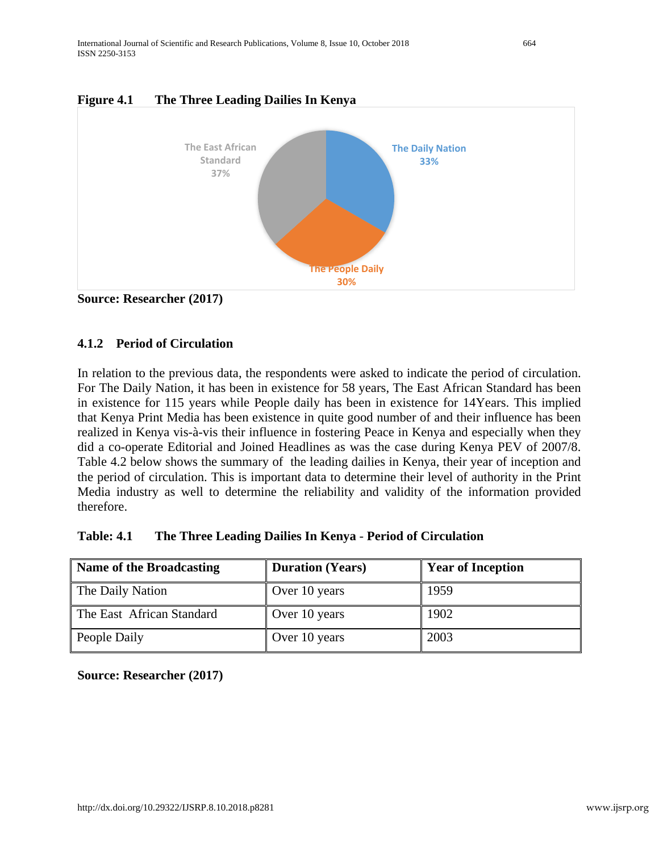



## **4.1.2 Period of Circulation**

In relation to the previous data, the respondents were asked to indicate the period of circulation. For The Daily Nation, it has been in existence for 58 years, The East African Standard has been in existence for 115 years while People daily has been in existence for 14Years. This implied that Kenya Print Media has been existence in quite good number of and their influence has been realized in Kenya vis-à-vis their influence in fostering Peace in Kenya and especially when they did a co-operate Editorial and Joined Headlines as was the case during Kenya PEV of 2007/8. Table 4.2 below shows the summary of the leading dailies in Kenya, their year of inception and the period of circulation. This is important data to determine their level of authority in the Print Media industry as well to determine the reliability and validity of the information provided therefore.

| <b>Name of the Broadcasting</b> | <b>Duration (Years)</b> | <b>Year of Inception</b> |
|---------------------------------|-------------------------|--------------------------|
| The Daily Nation                | Over 10 years           | 1959                     |
| The East African Standard       | Over 10 years           | 1902                     |
| People Daily                    | Over 10 years           | 2003                     |

#### **Table: 4.1 The Three Leading Dailies In Kenya** - **Period of Circulation**

**Source: Researcher (2017)**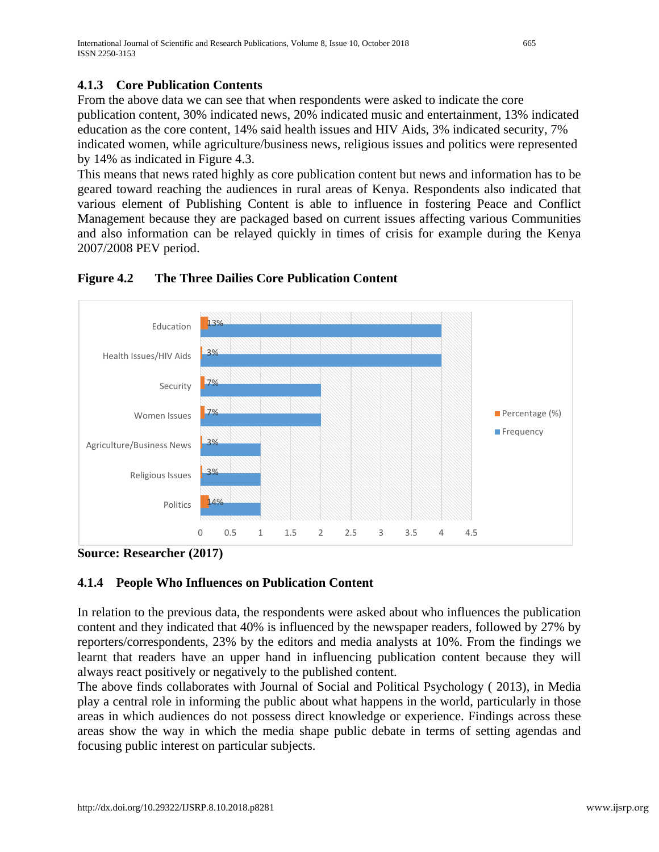# **4.1.3 Core Publication Contents**

From the above data we can see that when respondents were asked to indicate the core publication content, 30% indicated news, 20% indicated music and entertainment, 13% indicated education as the core content, 14% said health issues and HIV Aids, 3% indicated security, 7% indicated women, while agriculture/business news, religious issues and politics were represented by 14% as indicated in Figure 4.3.

This means that news rated highly as core publication content but news and information has to be geared toward reaching the audiences in rural areas of Kenya. Respondents also indicated that various element of Publishing Content is able to influence in fostering Peace and Conflict Management because they are packaged based on current issues affecting various Communities and also information can be relayed quickly in times of crisis for example during the Kenya 2007/2008 PEV period.



## **Figure 4.2 The Three Dailies Core Publication Content**

**Source: Researcher (2017)**

## **4.1.4 People Who Influences on Publication Content**

In relation to the previous data, the respondents were asked about who influences the publication content and they indicated that 40% is influenced by the newspaper readers, followed by 27% by reporters/correspondents, 23% by the editors and media analysts at 10%. From the findings we learnt that readers have an upper hand in influencing publication content because they will always react positively or negatively to the published content.

The above finds collaborates with Journal of Social and Political Psychology ( 2013), in Media play a central role in informing the public about what happens in the world, particularly in those areas in which audiences do not possess direct knowledge or experience. Findings across these areas show the way in which the media shape public debate in terms of setting agendas and focusing public interest on particular subjects.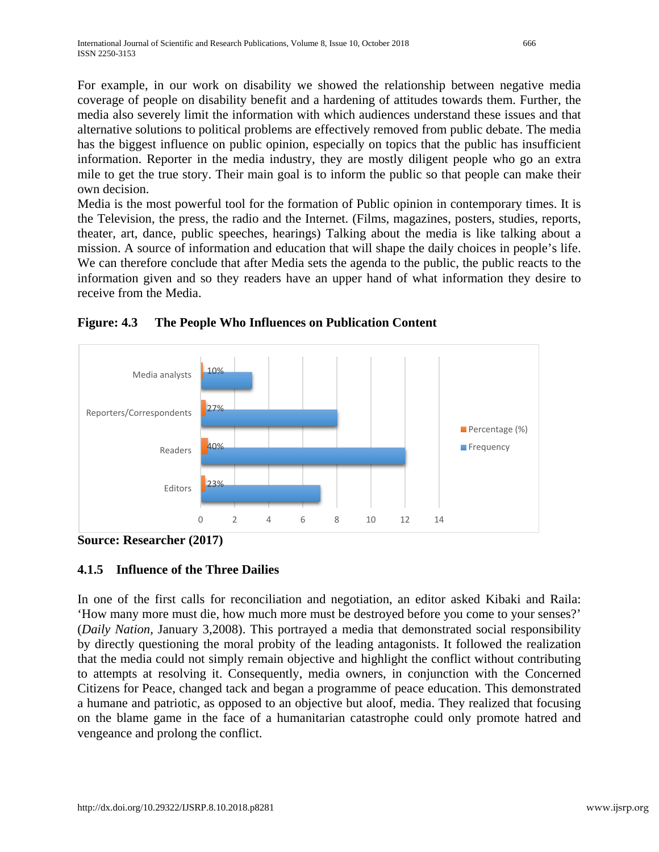For example, in our work on disability we showed the relationship between negative media coverage of people on disability benefit and a hardening of attitudes towards them. Further, the media also severely limit the information with which audiences understand these issues and that alternative solutions to political problems are effectively removed from public debate. The media has the biggest influence on public opinion, especially on topics that the public has insufficient information. Reporter in the media industry, they are mostly diligent people who go an extra mile to get the true story. Their main goal is to inform the public so that people can make their own decision.

Media is the most powerful tool for the formation of Public opinion in contemporary times. It is the Television, the press, the radio and the Internet. (Films, magazines, posters, studies, reports, theater, art, dance, public speeches, hearings) Talking about the media is like talking about a mission. A source of information and education that will shape the daily choices in people's life. We can therefore conclude that after Media sets the agenda to the public, the public reacts to the information given and so they readers have an upper hand of what information they desire to receive from the Media.



**Figure: 4.3 The People Who Influences on Publication Content**

**Source: Researcher (2017)**

# **4.1.5 Influence of the Three Dailies**

In one of the first calls for reconciliation and negotiation, an editor asked Kibaki and Raila: 'How many more must die, how much more must be destroyed before you come to your senses?' (*Daily Nation,* January 3,2008). This portrayed a media that demonstrated social responsibility by directly questioning the moral probity of the leading antagonists. It followed the realization that the media could not simply remain objective and highlight the conflict without contributing to attempts at resolving it. Consequently, media owners, in conjunction with the Concerned Citizens for Peace, changed tack and began a programme of peace education. This demonstrated a humane and patriotic, as opposed to an objective but aloof, media. They realized that focusing on the blame game in the face of a humanitarian catastrophe could only promote hatred and vengeance and prolong the conflict.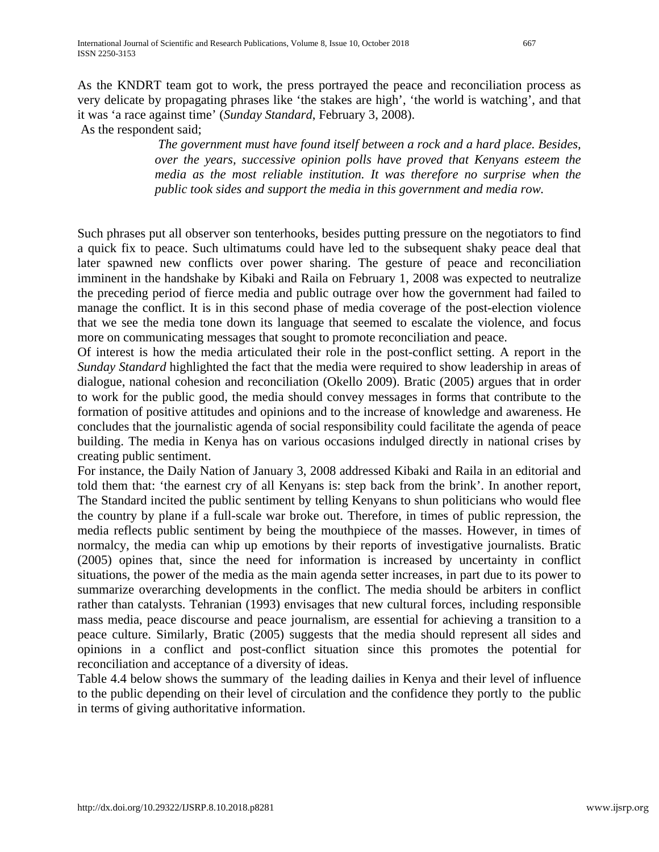As the KNDRT team got to work, the press portrayed the peace and reconciliation process as very delicate by propagating phrases like 'the stakes are high', 'the world is watching', and that it was 'a race against time' (*Sunday Standard*, February 3, 2008).

As the respondent said;

*The government must have found itself between a rock and a hard place. Besides, over the years, successive opinion polls have proved that Kenyans esteem the media as the most reliable institution. It was therefore no surprise when the public took sides and support the media in this government and media row.*

Such phrases put all observer son tenterhooks, besides putting pressure on the negotiators to find a quick fix to peace. Such ultimatums could have led to the subsequent shaky peace deal that later spawned new conflicts over power sharing. The gesture of peace and reconciliation imminent in the handshake by Kibaki and Raila on February 1, 2008 was expected to neutralize the preceding period of fierce media and public outrage over how the government had failed to manage the conflict. It is in this second phase of media coverage of the post-election violence that we see the media tone down its language that seemed to escalate the violence, and focus more on communicating messages that sought to promote reconciliation and peace.

Of interest is how the media articulated their role in the post-conflict setting. A report in the *Sunday Standard* highlighted the fact that the media were required to show leadership in areas of dialogue, national cohesion and reconciliation (Okello 2009). Bratic (2005) argues that in order to work for the public good, the media should convey messages in forms that contribute to the formation of positive attitudes and opinions and to the increase of knowledge and awareness. He concludes that the journalistic agenda of social responsibility could facilitate the agenda of peace building. The media in Kenya has on various occasions indulged directly in national crises by creating public sentiment.

For instance, the Daily Nation of January 3, 2008 addressed Kibaki and Raila in an editorial and told them that: 'the earnest cry of all Kenyans is: step back from the brink'. In another report, The Standard incited the public sentiment by telling Kenyans to shun politicians who would flee the country by plane if a full-scale war broke out. Therefore, in times of public repression, the media reflects public sentiment by being the mouthpiece of the masses. However, in times of normalcy, the media can whip up emotions by their reports of investigative journalists. Bratic (2005) opines that, since the need for information is increased by uncertainty in conflict situations, the power of the media as the main agenda setter increases, in part due to its power to summarize overarching developments in the conflict. The media should be arbiters in conflict rather than catalysts. Tehranian (1993) envisages that new cultural forces, including responsible mass media, peace discourse and peace journalism, are essential for achieving a transition to a peace culture. Similarly, Bratic (2005) suggests that the media should represent all sides and opinions in a conflict and post-conflict situation since this promotes the potential for reconciliation and acceptance of a diversity of ideas.

Table 4.4 below shows the summary of the leading dailies in Kenya and their level of influence to the public depending on their level of circulation and the confidence they portly to the public in terms of giving authoritative information.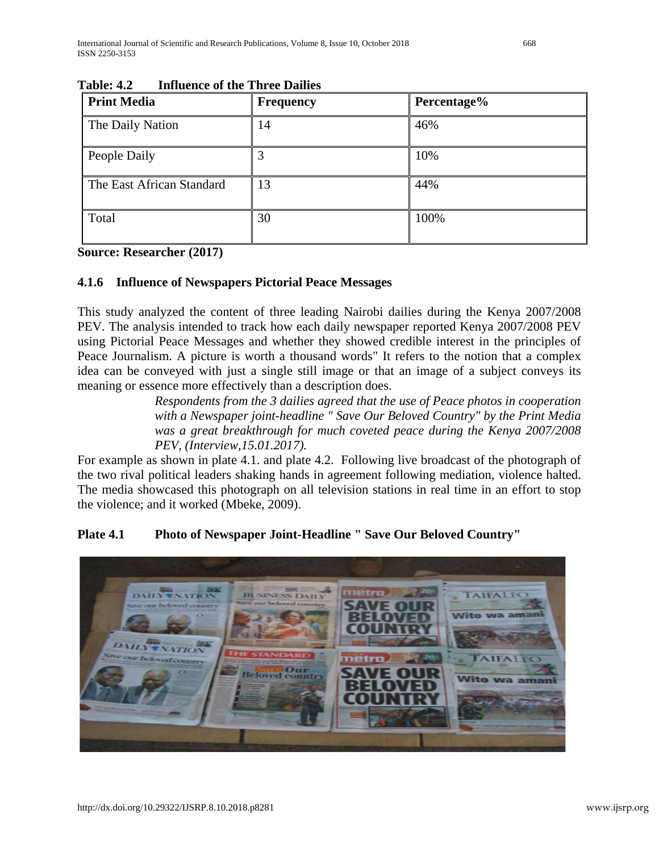| <b>Print Media</b>        | <b>Frequency</b> | Percentage% |
|---------------------------|------------------|-------------|
| The Daily Nation          | 14               | 46%         |
| People Daily              | 3                | 10%         |
| The East African Standard | 13               | 44%         |
| Total                     | 30               | 100%        |

**Table: 4.2 Influence of the Three Dailies** 

**Source: Researcher (2017)**

## **4.1.6 Influence of Newspapers Pictorial Peace Messages**

This study analyzed the content of three leading Nairobi dailies during the Kenya 2007/2008 PEV. The analysis intended to track how each daily newspaper reported Kenya 2007/2008 PEV using Pictorial Peace Messages and whether they showed credible interest in the principles of Peace Journalism. A picture is worth a thousand words" It refers to the notion that a complex idea can be conveyed with just a single still image or that an image of a subject conveys its meaning or essence more effectively than a description does.

> *Respondents from the 3 dailies agreed that the use of Peace photos in cooperation with a Newspaper joint-headline " Save Our Beloved Country" by the Print Media was a great breakthrough for much coveted peace during the Kenya 2007/2008 PEV, (Interview,15.01.2017).*

For example as shown in plate 4.1. and plate 4.2. Following live broadcast of the photograph of the two rival political leaders shaking hands in agreement following mediation, violence halted. The media showcased this photograph on all television stations in real time in an effort to stop the violence; and it worked (Mbeke, 2009).

## **Plate 4.1 Photo of Newspaper Joint-Headline " Save Our Beloved Country"**

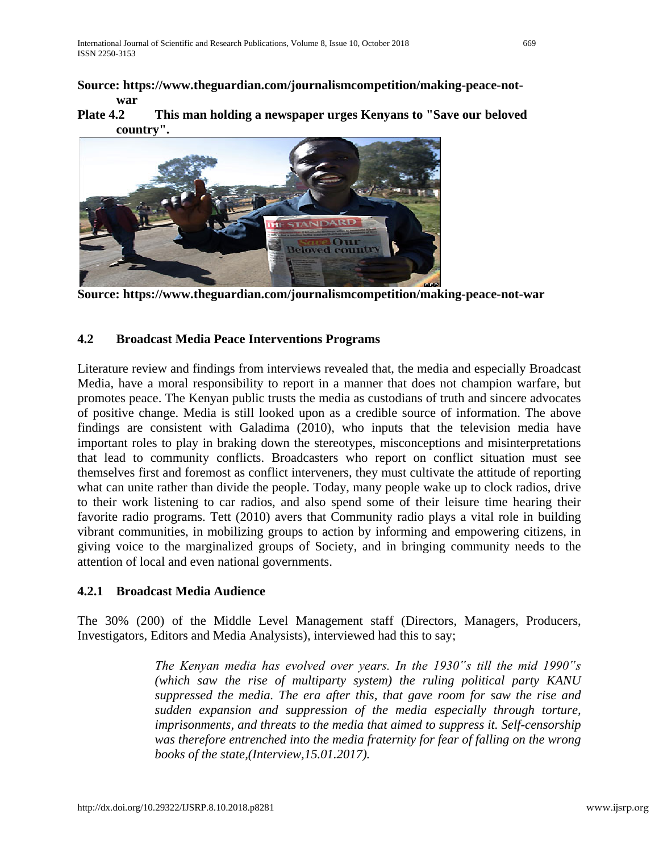#### **Source: https://www.theguardian.com/journalismcompetition/making-peace-notwar**

#### **Plate 4.2 This man holding a newspaper urges Kenyans to "Save our beloved country".**



**Source: https://www.theguardian.com/journalismcompetition/making-peace-not-war**

## **4.2 Broadcast Media Peace Interventions Programs**

Literature review and findings from interviews revealed that, the media and especially Broadcast Media, have a moral responsibility to report in a manner that does not champion warfare, but promotes peace. The Kenyan public trusts the media as custodians of truth and sincere advocates of positive change. Media is still looked upon as a credible source of information. The above findings are consistent with Galadima (2010), who inputs that the television media have important roles to play in braking down the stereotypes, misconceptions and misinterpretations that lead to community conflicts. Broadcasters who report on conflict situation must see themselves first and foremost as conflict interveners, they must cultivate the attitude of reporting what can unite rather than divide the people. Today, many people wake up to clock radios, drive to their work listening to car radios, and also spend some of their leisure time hearing their favorite radio programs. Tett (2010) avers that Community radio plays a vital role in building vibrant communities, in mobilizing groups to action by informing and empowering citizens, in giving voice to the marginalized groups of Society, and in bringing community needs to the attention of local and even national governments.

#### **4.2.1 Broadcast Media Audience**

The 30% (200) of the Middle Level Management staff (Directors, Managers, Producers, Investigators, Editors and Media Analysists), interviewed had this to say;

> *The Kenyan media has evolved over years. In the 1930"s till the mid 1990"s (which saw the rise of multiparty system) the ruling political party KANU suppressed the media. The era after this, that gave room for saw the rise and sudden expansion and suppression of the media especially through torture, imprisonments, and threats to the media that aimed to suppress it. Self-censorship was therefore entrenched into the media fraternity for fear of falling on the wrong books of the state,(Interview,15.01.2017).*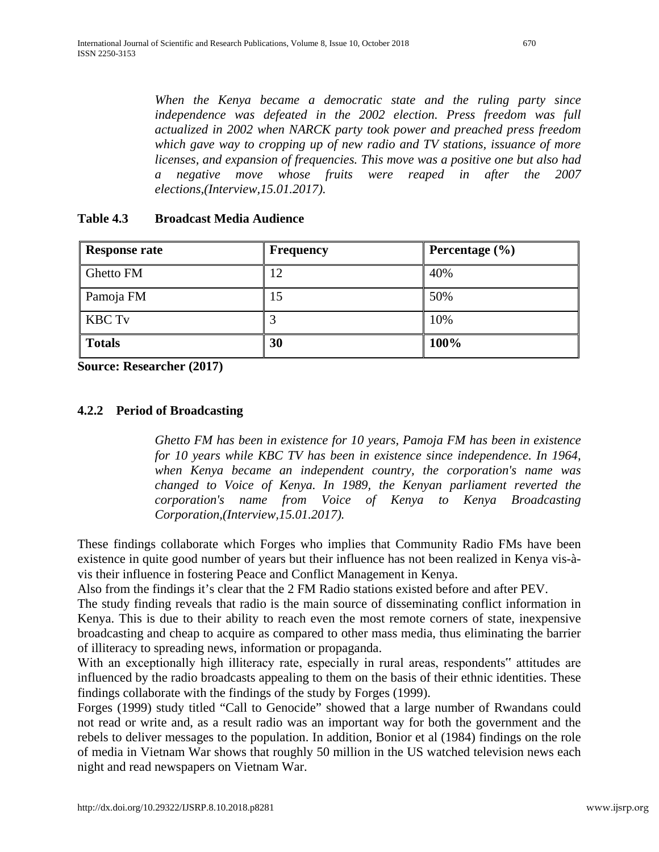*When the Kenya became a democratic state and the ruling party since independence was defeated in the 2002 election. Press freedom was full actualized in 2002 when NARCK party took power and preached press freedom which gave way to cropping up of new radio and TV stations, issuance of more licenses, and expansion of frequencies. This move was a positive one but also had a negative move whose fruits were reaped in after the 2007 elections,(Interview,15.01.2017).*

| <b>Response rate</b> | <b>Frequency</b> | Percentage $(\% )$ |
|----------------------|------------------|--------------------|
| Ghetto FM            | 12               | 40%                |
| Pamoja FM            | 15               | 50%                |
| <b>KBC Tv</b>        |                  | 10%                |
| <b>Totals</b>        | 30               | 100%               |

## **Table 4.3 Broadcast Media Audience**

**Source: Researcher (2017)**

#### **4.2.2 Period of Broadcasting**

*Ghetto FM has been in existence for 10 years, Pamoja FM has been in existence for 10 years while KBC TV has been in existence since independence. In 1964, when Kenya became an independent country, the corporation's name was changed to Voice of Kenya. In 1989, the Kenyan parliament reverted the corporation's name from Voice of Kenya to Kenya Broadcasting Corporation,(Interview,15.01.2017).* 

These findings collaborate which Forges who implies that Community Radio FMs have been existence in quite good number of years but their influence has not been realized in Kenya vis-àvis their influence in fostering Peace and Conflict Management in Kenya.

Also from the findings it's clear that the 2 FM Radio stations existed before and after PEV.

The study finding reveals that radio is the main source of disseminating conflict information in Kenya. This is due to their ability to reach even the most remote corners of state, inexpensive broadcasting and cheap to acquire as compared to other mass media, thus eliminating the barrier of illiteracy to spreading news, information or propaganda.

With an exceptionally high illiteracy rate, especially in rural areas, respondents<sup>"</sup> attitudes are influenced by the radio broadcasts appealing to them on the basis of their ethnic identities. These findings collaborate with the findings of the study by Forges (1999).

Forges (1999) study titled "Call to Genocide" showed that a large number of Rwandans could not read or write and, as a result radio was an important way for both the government and the rebels to deliver messages to the population. In addition, Bonior et al (1984) findings on the role of media in Vietnam War shows that roughly 50 million in the US watched television news each night and read newspapers on Vietnam War.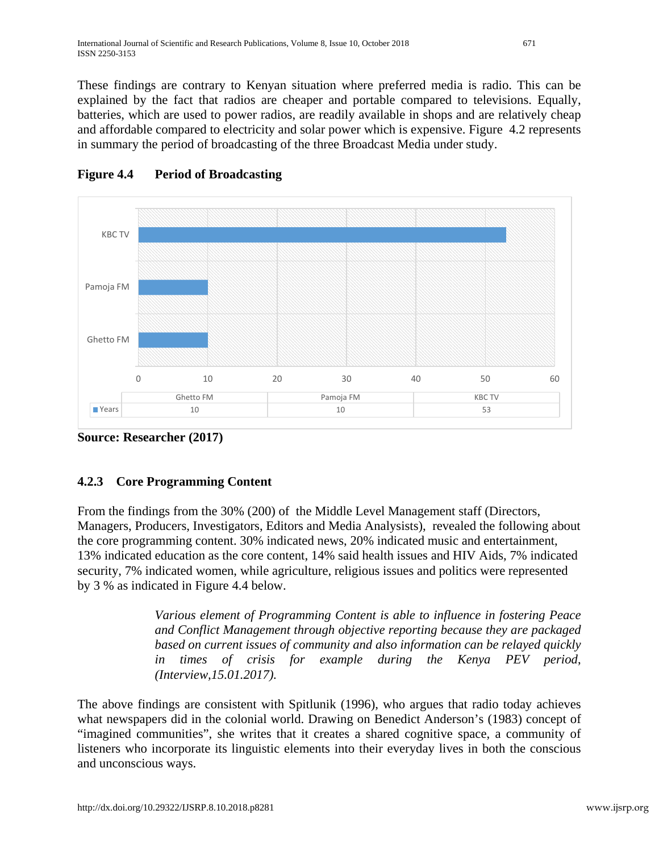These findings are contrary to Kenyan situation where preferred media is radio. This can be explained by the fact that radios are cheaper and portable compared to televisions. Equally, batteries, which are used to power radios, are readily available in shops and are relatively cheap and affordable compared to electricity and solar power which is expensive. Figure 4.2 represents in summary the period of broadcasting of the three Broadcast Media under study.



## **Figure 4.4 Period of Broadcasting**

**Source: Researcher (2017)**

# **4.2.3 Core Programming Content**

From the findings from the 30% (200) of the Middle Level Management staff (Directors, Managers, Producers, Investigators, Editors and Media Analysists), revealed the following about the core programming content. 30% indicated news, 20% indicated music and entertainment, 13% indicated education as the core content, 14% said health issues and HIV Aids, 7% indicated security, 7% indicated women, while agriculture, religious issues and politics were represented by 3 % as indicated in Figure 4.4 below.

> *Various element of Programming Content is able to influence in fostering Peace and Conflict Management through objective reporting because they are packaged based on current issues of community and also information can be relayed quickly in times of crisis for example during the Kenya PEV period*, *(Interview,15.01.2017).*

The above findings are consistent with Spitlunik (1996), who argues that radio today achieves what newspapers did in the colonial world. Drawing on Benedict Anderson's (1983) concept of "imagined communities", she writes that it creates a shared cognitive space, a community of listeners who incorporate its linguistic elements into their everyday lives in both the conscious and unconscious ways.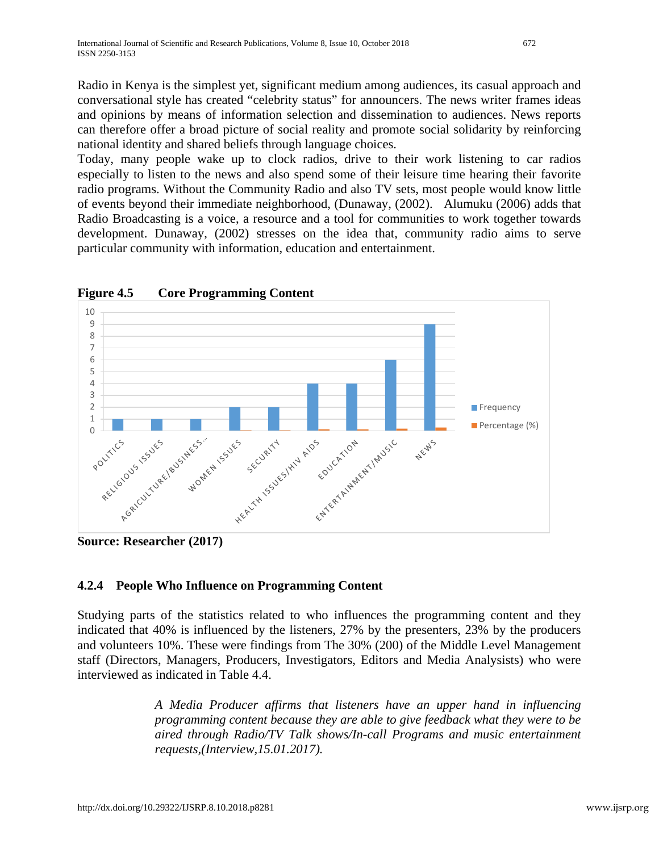Radio in Kenya is the simplest yet, significant medium among audiences, its casual approach and conversational style has created "celebrity status" for announcers. The news writer frames ideas and opinions by means of information selection and dissemination to audiences. News reports can therefore offer a broad picture of social reality and promote social solidarity by reinforcing national identity and shared beliefs through language choices.

Today, many people wake up to clock radios, drive to their work listening to car radios especially to listen to the news and also spend some of their leisure time hearing their favorite radio programs. Without the Community Radio and also TV sets, most people would know little of events beyond their immediate neighborhood, (Dunaway, (2002). Alumuku (2006) adds that Radio Broadcasting is a voice, a resource and a tool for communities to work together towards development. Dunaway, (2002) stresses on the idea that, community radio aims to serve particular community with information, education and entertainment.



**Figure 4.5 Core Programming Content**

**Source: Researcher (2017)**

## **4.2.4 People Who Influence on Programming Content**

Studying parts of the statistics related to who influences the programming content and they indicated that 40% is influenced by the listeners, 27% by the presenters, 23% by the producers and volunteers 10%. These were findings from The 30% (200) of the Middle Level Management staff (Directors, Managers, Producers, Investigators, Editors and Media Analysists) who were interviewed as indicated in Table 4.4.

> *A Media Producer affirms that listeners have an upper hand in influencing programming content because they are able to give feedback what they were to be aired through Radio/TV Talk shows/In-call Programs and music entertainment requests,(Interview,15.01.2017).*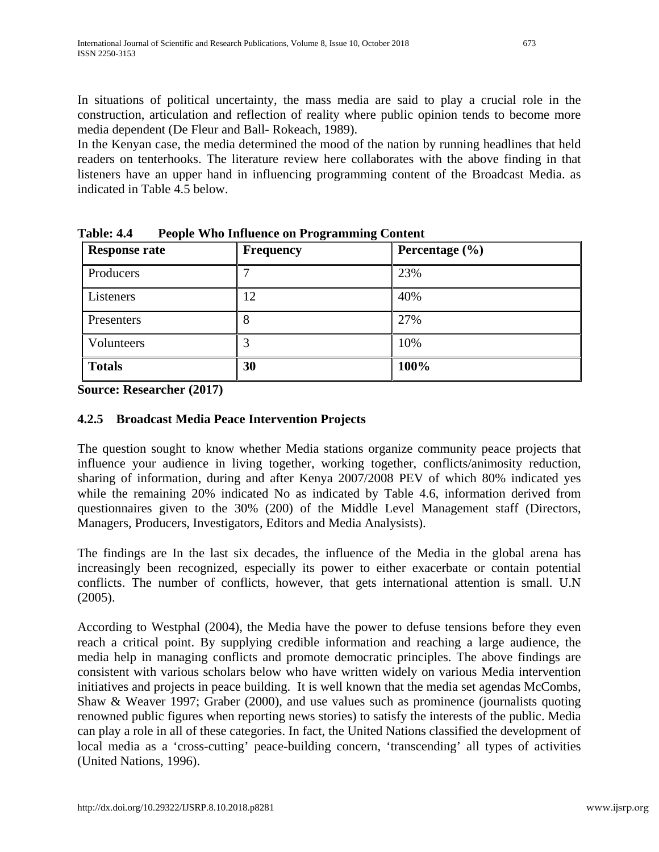In situations of political uncertainty, the mass media are said to play a crucial role in the construction, articulation and reflection of reality where public opinion tends to become more media dependent (De Fleur and Ball- Rokeach, 1989).

In the Kenyan case, the media determined the mood of the nation by running headlines that held readers on tenterhooks. The literature review here collaborates with the above finding in that listeners have an upper hand in influencing programming content of the Broadcast Media. as indicated in Table 4.5 below.

| <b>Response rate</b> | <b>Frequency</b> | Percentage $(\% )$ |
|----------------------|------------------|--------------------|
| Producers            |                  | 23%                |
| Listeners            | 12               | 40%                |
| Presenters           | Λ                | 27%                |
| Volunteers           |                  | 10%                |
| <b>Totals</b>        | 30               | 100%               |

**Table: 4.4 People Who Influence on Programming Content**

**Source: Researcher (2017)**

## **4.2.5 Broadcast Media Peace Intervention Projects**

The question sought to know whether Media stations organize community peace projects that influence your audience in living together, working together, conflicts/animosity reduction, sharing of information, during and after Kenya 2007/2008 PEV of which 80% indicated yes while the remaining 20% indicated No as indicated by Table 4.6, information derived from questionnaires given to the 30% (200) of the Middle Level Management staff (Directors, Managers, Producers, Investigators, Editors and Media Analysists).

The findings are In the last six decades, the influence of the Media in the global arena has increasingly been recognized, especially its power to either exacerbate or contain potential conflicts. The number of conflicts, however, that gets international attention is small. U.N (2005).

According to Westphal (2004), the Media have the power to defuse tensions before they even reach a critical point. By supplying credible information and reaching a large audience, the media help in managing conflicts and promote democratic principles. The above findings are consistent with various scholars below who have written widely on various Media intervention initiatives and projects in peace building. It is well known that the media set agendas McCombs, Shaw & Weaver 1997; Graber (2000), and use values such as prominence (journalists quoting renowned public figures when reporting news stories) to satisfy the interests of the public. Media can play a role in all of these categories. In fact, the United Nations classified the development of local media as a 'cross-cutting' peace-building concern, 'transcending' all types of activities (United Nations, 1996).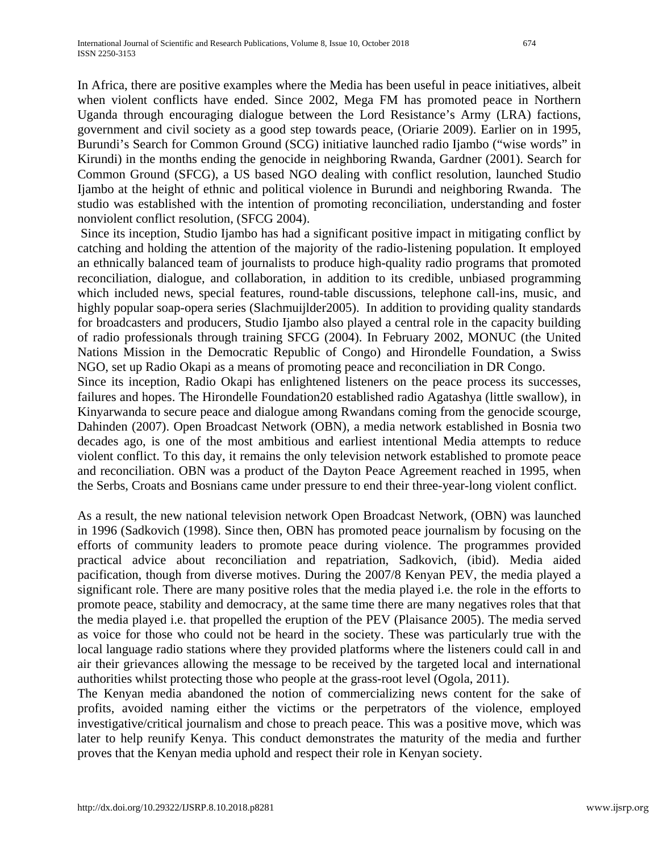In Africa, there are positive examples where the Media has been useful in peace initiatives, albeit when violent conflicts have ended. Since 2002, Mega FM has promoted peace in Northern Uganda through encouraging dialogue between the Lord Resistance's Army (LRA) factions, government and civil society as a good step towards peace, (Oriarie 2009). Earlier on in 1995, Burundi's Search for Common Ground (SCG) initiative launched radio Ijambo ("wise words" in Kirundi) in the months ending the genocide in neighboring Rwanda, Gardner (2001). Search for Common Ground (SFCG), a US based NGO dealing with conflict resolution, launched Studio Ijambo at the height of ethnic and political violence in Burundi and neighboring Rwanda. The studio was established with the intention of promoting reconciliation, understanding and foster nonviolent conflict resolution, (SFCG 2004).

Since its inception, Studio Ijambo has had a significant positive impact in mitigating conflict by catching and holding the attention of the majority of the radio-listening population. It employed an ethnically balanced team of journalists to produce high-quality radio programs that promoted reconciliation, dialogue, and collaboration, in addition to its credible, unbiased programming which included news, special features, round-table discussions, telephone call-ins, music, and highly popular soap-opera series (Slachmuijlder2005). In addition to providing quality standards for broadcasters and producers, Studio Ijambo also played a central role in the capacity building of radio professionals through training SFCG (2004). In February 2002, MONUC (the United Nations Mission in the Democratic Republic of Congo) and Hirondelle Foundation, a Swiss NGO, set up Radio Okapi as a means of promoting peace and reconciliation in DR Congo.

Since its inception, Radio Okapi has enlightened listeners on the peace process its successes, failures and hopes. The Hirondelle Foundation20 established radio Agatashya (little swallow), in Kinyarwanda to secure peace and dialogue among Rwandans coming from the genocide scourge, Dahinden (2007). Open Broadcast Network (OBN), a media network established in Bosnia two decades ago, is one of the most ambitious and earliest intentional Media attempts to reduce violent conflict. To this day, it remains the only television network established to promote peace and reconciliation. OBN was a product of the Dayton Peace Agreement reached in 1995, when the Serbs, Croats and Bosnians came under pressure to end their three-year-long violent conflict.

As a result, the new national television network Open Broadcast Network, (OBN) was launched in 1996 (Sadkovich (1998). Since then, OBN has promoted peace journalism by focusing on the efforts of community leaders to promote peace during violence. The programmes provided practical advice about reconciliation and repatriation, Sadkovich, (ibid). Media aided pacification, though from diverse motives. During the 2007/8 Kenyan PEV, the media played a significant role. There are many positive roles that the media played i.e. the role in the efforts to promote peace, stability and democracy, at the same time there are many negatives roles that that the media played i.e. that propelled the eruption of the PEV (Plaisance 2005). The media served as voice for those who could not be heard in the society. These was particularly true with the local language radio stations where they provided platforms where the listeners could call in and air their grievances allowing the message to be received by the targeted local and international authorities whilst protecting those who people at the grass-root level (Ogola, 2011).

The Kenyan media abandoned the notion of commercializing news content for the sake of profits, avoided naming either the victims or the perpetrators of the violence, employed investigative/critical journalism and chose to preach peace. This was a positive move, which was later to help reunify Kenya. This conduct demonstrates the maturity of the media and further proves that the Kenyan media uphold and respect their role in Kenyan society.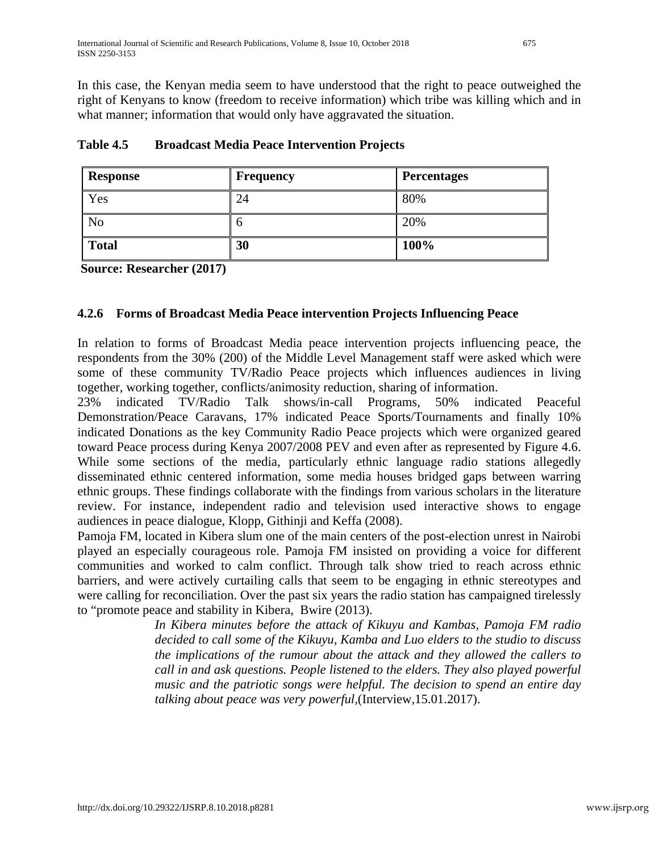In this case, the Kenyan media seem to have understood that the right to peace outweighed the right of Kenyans to know (freedom to receive information) which tribe was killing which and in what manner; information that would only have aggravated the situation.

| Response       | <b>Frequency</b> | <b>Percentages</b> |
|----------------|------------------|--------------------|
| Yes            | 24               | 80%                |
| N <sub>o</sub> |                  | 20%                |
| <b>Total</b>   | 30               | 100%               |

## **Table 4.5 Broadcast Media Peace Intervention Projects**

**Source: Researcher (2017)**

## **4.2.6 Forms of Broadcast Media Peace intervention Projects Influencing Peace**

In relation to forms of Broadcast Media peace intervention projects influencing peace, the respondents from the 30% (200) of the Middle Level Management staff were asked which were some of these community TV/Radio Peace projects which influences audiences in living together, working together, conflicts/animosity reduction, sharing of information.

23% indicated TV/Radio Talk shows/in-call Programs, 50% indicated Peaceful Demonstration/Peace Caravans, 17% indicated Peace Sports/Tournaments and finally 10% indicated Donations as the key Community Radio Peace projects which were organized geared toward Peace process during Kenya 2007/2008 PEV and even after as represented by Figure 4.6. While some sections of the media, particularly ethnic language radio stations allegedly disseminated ethnic centered information, some media houses bridged gaps between warring ethnic groups. These findings collaborate with the findings from various scholars in the literature review. For instance, independent radio and television used interactive shows to engage audiences in peace dialogue, Klopp, Githinji and Keffa (2008).

Pamoja FM, located in Kibera slum one of the main centers of the post-election unrest in Nairobi played an especially courageous role. Pamoja FM insisted on providing a voice for different communities and worked to calm conflict. Through talk show tried to reach across ethnic barriers, and were actively curtailing calls that seem to be engaging in ethnic stereotypes and were calling for reconciliation. Over the past six years the radio station has campaigned tirelessly to "promote peace and stability in Kibera, Bwire (2013).

> *In Kibera minutes before the attack of Kikuyu and Kambas, Pamoja FM radio decided to call some of the Kikuyu, Kamba and Luo elders to the studio to discuss the implications of the rumour about the attack and they allowed the callers to call in and ask questions. People listened to the elders. They also played powerful music and the patriotic songs were helpful. The decision to spend an entire day talking about peace was very powerful,*(Interview,15.01.2017).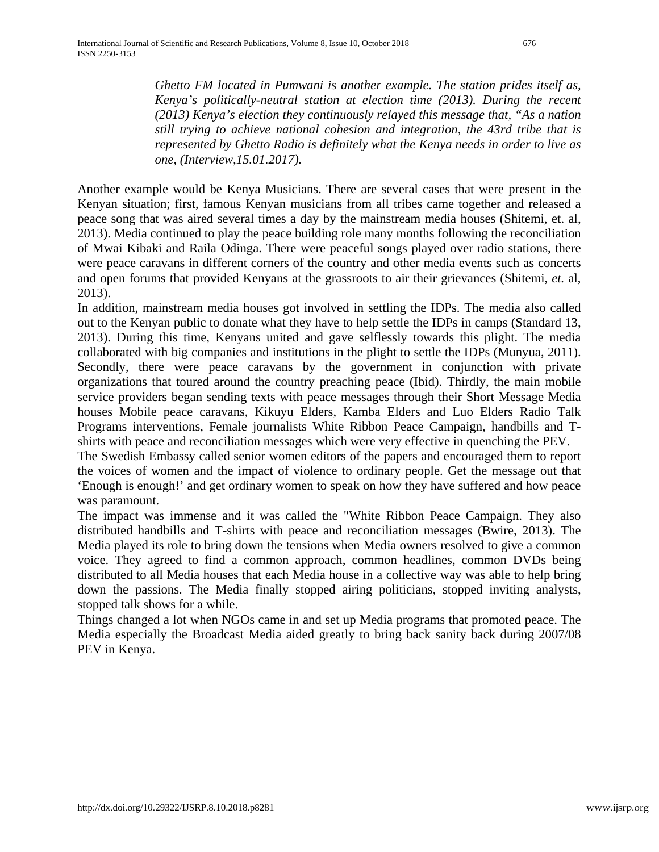*Ghetto FM located in Pumwani is another example. The station prides itself as, Kenya's politically-neutral station at election time (2013). During the recent (2013) Kenya's election they continuously relayed this message that, "As a nation still trying to achieve national cohesion and integration, the 43rd tribe that is represented by Ghetto Radio is definitely what the Kenya needs in order to live as one, (Interview,15.01.2017).*

Another example would be Kenya Musicians. There are several cases that were present in the Kenyan situation; first, famous Kenyan musicians from all tribes came together and released a peace song that was aired several times a day by the mainstream media houses (Shitemi, et. al, 2013). Media continued to play the peace building role many months following the reconciliation of Mwai Kibaki and Raila Odinga. There were peaceful songs played over radio stations, there were peace caravans in different corners of the country and other media events such as concerts and open forums that provided Kenyans at the grassroots to air their grievances (Shitemi, *et.* al, 2013).

In addition, mainstream media houses got involved in settling the IDPs. The media also called out to the Kenyan public to donate what they have to help settle the IDPs in camps (Standard 13, 2013). During this time, Kenyans united and gave selflessly towards this plight. The media collaborated with big companies and institutions in the plight to settle the IDPs (Munyua, 2011). Secondly, there were peace caravans by the government in conjunction with private organizations that toured around the country preaching peace (Ibid). Thirdly, the main mobile service providers began sending texts with peace messages through their Short Message Media houses Mobile peace caravans, Kikuyu Elders, Kamba Elders and Luo Elders Radio Talk Programs interventions, Female journalists White Ribbon Peace Campaign, handbills and Tshirts with peace and reconciliation messages which were very effective in quenching the PEV.

The Swedish Embassy called senior women editors of the papers and encouraged them to report the voices of women and the impact of violence to ordinary people. Get the message out that 'Enough is enough!' and get ordinary women to speak on how they have suffered and how peace was paramount.

The impact was immense and it was called the "White Ribbon Peace Campaign. They also distributed handbills and T-shirts with peace and reconciliation messages (Bwire, 2013). The Media played its role to bring down the tensions when Media owners resolved to give a common voice. They agreed to find a common approach, common headlines, common DVDs being distributed to all Media houses that each Media house in a collective way was able to help bring down the passions. The Media finally stopped airing politicians, stopped inviting analysts, stopped talk shows for a while.

Things changed a lot when NGOs came in and set up Media programs that promoted peace. The Media especially the Broadcast Media aided greatly to bring back sanity back during 2007/08 PEV in Kenya.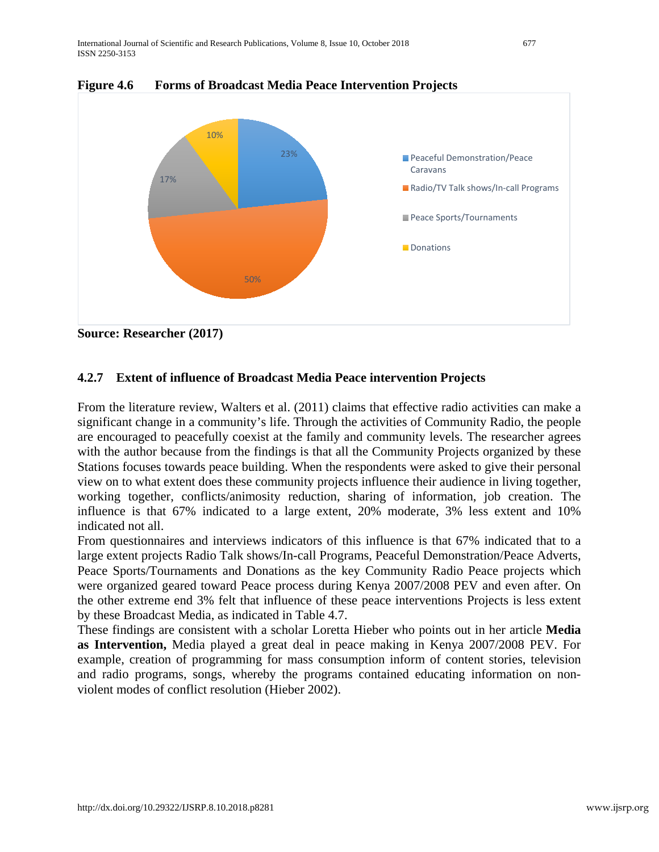

**Figure 4.6 Forms of Broadcast Media Peace Intervention Projects**

**Source: Researcher (2017)**

## **4.2.7 Extent of influence of Broadcast Media Peace intervention Projects**

From the literature review, Walters et al. (2011) claims that effective radio activities can make a significant change in a community's life. Through the activities of Community Radio, the people are encouraged to peacefully coexist at the family and community levels. The researcher agrees with the author because from the findings is that all the Community Projects organized by these Stations focuses towards peace building. When the respondents were asked to give their personal view on to what extent does these community projects influence their audience in living together, working together, conflicts/animosity reduction, sharing of information, job creation. The influence is that 67% indicated to a large extent, 20% moderate, 3% less extent and 10% indicated not all.

From questionnaires and interviews indicators of this influence is that 67% indicated that to a large extent projects Radio Talk shows/In-call Programs, Peaceful Demonstration/Peace Adverts, Peace Sports/Tournaments and Donations as the key Community Radio Peace projects which were organized geared toward Peace process during Kenya 2007/2008 PEV and even after. On the other extreme end 3% felt that influence of these peace interventions Projects is less extent by these Broadcast Media, as indicated in Table 4.7.

These findings are consistent with a scholar Loretta Hieber who points out in her article **Media as Intervention,** Media played a great deal in peace making in Kenya 2007/2008 PEV. For example, creation of programming for mass consumption inform of content stories, television and radio programs, songs, whereby the programs contained educating information on nonviolent modes of conflict resolution (Hieber 2002).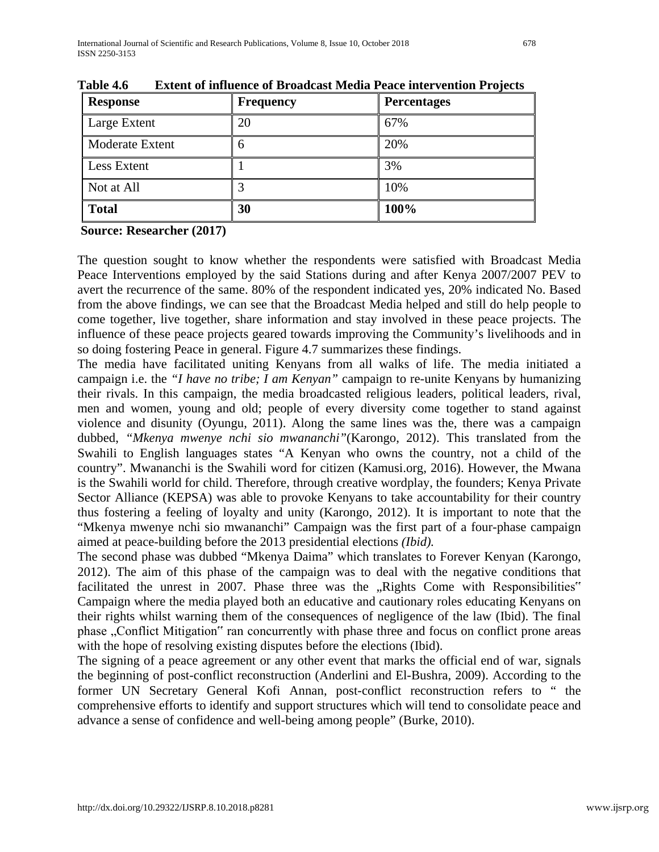| <b>Response</b>        | <b>Frequency</b> | <b>Percentages</b> |
|------------------------|------------------|--------------------|
| Large Extent           | 20               | 67%                |
| <b>Moderate Extent</b> | 6                | 20%                |
| Less Extent            |                  | 3%                 |
| Not at All             |                  | 10%                |
| <b>Total</b>           | 30               | 100%               |

**Table 4.6 Extent of influence of Broadcast Media Peace intervention Projects**

**Source: Researcher (2017)**

The question sought to know whether the respondents were satisfied with Broadcast Media Peace Interventions employed by the said Stations during and after Kenya 2007/2007 PEV to avert the recurrence of the same. 80% of the respondent indicated yes, 20% indicated No. Based from the above findings, we can see that the Broadcast Media helped and still do help people to come together, live together, share information and stay involved in these peace projects. The influence of these peace projects geared towards improving the Community's livelihoods and in so doing fostering Peace in general. Figure 4.7 summarizes these findings.

The media have facilitated uniting Kenyans from all walks of life. The media initiated a campaign i.e. the *"I have no tribe; I am Kenyan"* campaign to re-unite Kenyans by humanizing their rivals. In this campaign, the media broadcasted religious leaders, political leaders, rival, men and women, young and old; people of every diversity come together to stand against violence and disunity (Oyungu, 2011). Along the same lines was the, there was a campaign dubbed, *"Mkenya mwenye nchi sio mwananchi"*(Karongo, 2012). This translated from the Swahili to English languages states "A Kenyan who owns the country, not a child of the country". Mwananchi is the Swahili word for citizen (Kamusi.org, 2016). However, the Mwana is the Swahili world for child. Therefore, through creative wordplay, the founders; Kenya Private Sector Alliance (KEPSA) was able to provoke Kenyans to take accountability for their country thus fostering a feeling of loyalty and unity (Karongo, 2012). It is important to note that the "Mkenya mwenye nchi sio mwananchi" Campaign was the first part of a four-phase campaign aimed at peace-building before the 2013 presidential elections *(Ibid).*

The second phase was dubbed "Mkenya Daima" which translates to Forever Kenyan (Karongo, 2012). The aim of this phase of the campaign was to deal with the negative conditions that facilitated the unrest in 2007. Phase three was the "Rights Come with Responsibilities" Campaign where the media played both an educative and cautionary roles educating Kenyans on their rights whilst warning them of the consequences of negligence of the law (Ibid). The final phase "Conflict Mitigation" ran concurrently with phase three and focus on conflict prone areas with the hope of resolving existing disputes before the elections (Ibid).

The signing of a peace agreement or any other event that marks the official end of war, signals the beginning of post-conflict reconstruction (Anderlini and El-Bushra, 2009). According to the former UN Secretary General Kofi Annan, post-conflict reconstruction refers to " the comprehensive efforts to identify and support structures which will tend to consolidate peace and advance a sense of confidence and well-being among people" (Burke, 2010).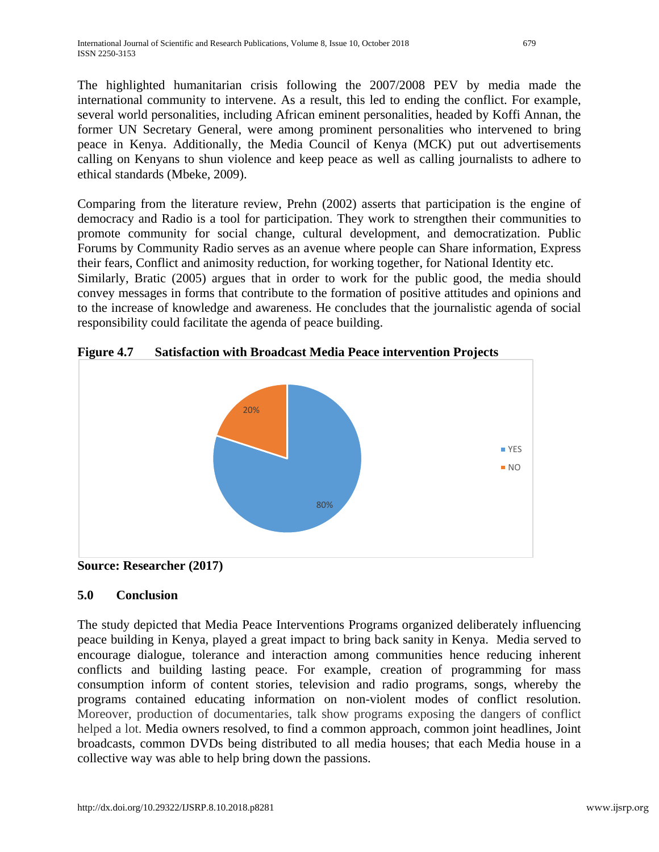international community to intervene. As a result, this led to ending the conflict. For example, several world personalities, including African eminent personalities, headed by Koffi Annan, the former UN Secretary General, were among prominent personalities who intervened to bring peace in Kenya. Additionally, the Media Council of Kenya (MCK) put out advertisements calling on Kenyans to shun violence and keep peace as well as calling journalists to adhere to ethical standards (Mbeke, 2009).

Comparing from the literature review, Prehn (2002) asserts that participation is the engine of democracy and Radio is a tool for participation. They work to strengthen their communities to promote community for social change, cultural development, and democratization. Public Forums by Community Radio serves as an avenue where people can Share information, Express their fears, Conflict and animosity reduction, for working together, for National Identity etc. Similarly, Bratic (2005) argues that in order to work for the public good, the media should

convey messages in forms that contribute to the formation of positive attitudes and opinions and to the increase of knowledge and awareness. He concludes that the journalistic agenda of social responsibility could facilitate the agenda of peace building.



**Figure 4.7 Satisfaction with Broadcast Media Peace intervention Projects**

**Source: Researcher (2017)**

# **5.0 Conclusion**

The study depicted that Media Peace Interventions Programs organized deliberately influencing peace building in Kenya, played a great impact to bring back sanity in Kenya. Media served to encourage dialogue, tolerance and interaction among communities hence reducing inherent conflicts and building lasting peace. For example, creation of programming for mass consumption inform of content stories, television and radio programs, songs, whereby the programs contained educating information on non-violent modes of conflict resolution. Moreover, production of documentaries, talk show programs exposing the dangers of conflict helped a lot. Media owners resolved, to find a common approach, common joint headlines, Joint broadcasts, common DVDs being distributed to all media houses; that each Media house in a collective way was able to help bring down the passions.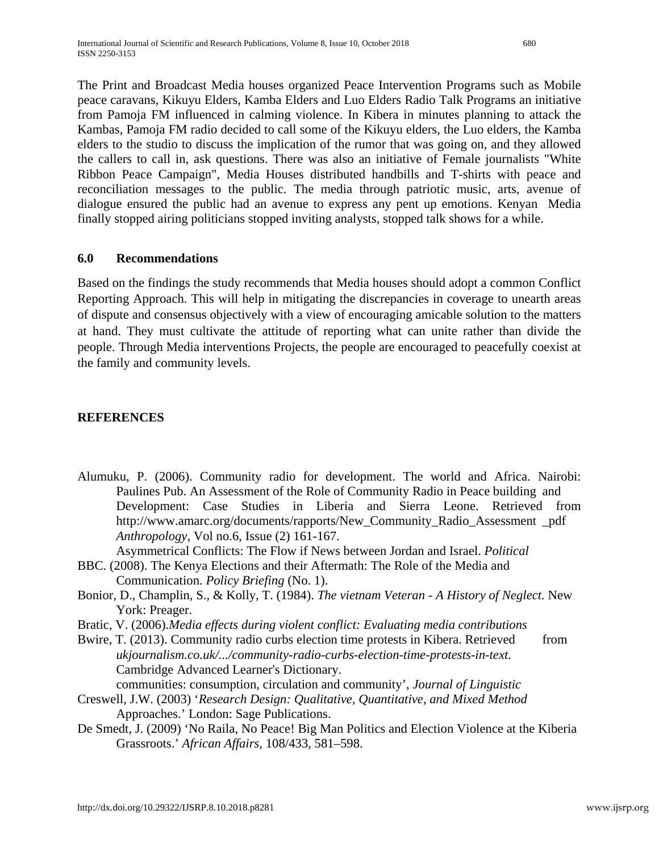The Print and Broadcast Media houses organized Peace Intervention Programs such as Mobile peace caravans, Kikuyu Elders, Kamba Elders and Luo Elders Radio Talk Programs an initiative from Pamoja FM influenced in calming violence. In Kibera in minutes planning to attack the Kambas, Pamoja FM radio decided to call some of the Kikuyu elders, the Luo elders, the Kamba elders to the studio to discuss the implication of the rumor that was going on, and they allowed the callers to call in, ask questions. There was also an initiative of Female journalists "White Ribbon Peace Campaign", Media Houses distributed handbills and T-shirts with peace and reconciliation messages to the public. The media through patriotic music, arts, avenue of dialogue ensured the public had an avenue to express any pent up emotions. Kenyan Media finally stopped airing politicians stopped inviting analysts, stopped talk shows for a while.

#### **6.0 Recommendations**

Based on the findings the study recommends that Media houses should adopt a common Conflict Reporting Approach. This will help in mitigating the discrepancies in coverage to unearth areas of dispute and consensus objectively with a view of encouraging amicable solution to the matters at hand. They must cultivate the attitude of reporting what can unite rather than divide the people. Through Media interventions Projects, the people are encouraged to peacefully coexist at the family and community levels.

# **REFERENCES**

- Alumuku, P. (2006). Community radio for development. The world and Africa. Nairobi: Paulines Pub. An Assessment of the Role of Community Radio in Peace building and Development: Case Studies in Liberia and Sierra Leone. Retrieved from http://www.amarc.org/documents/rapports/New Community Radio Assessment pdf *Anthropology,* Vol no.6, Issue (2) 161-167.
- Asymmetrical Conflicts: The Flow if News between Jordan and Israel. *Political* BBC. (2008). The Kenya Elections and their Aftermath: The Role of the Media and
	- Communication. *Policy Briefing* (No. 1).
- Bonior, D., Champlin, S., & Kolly, T. (1984). *The vietnam Veteran - A History of Neglect.* New York: Preager.
- Bratic, V. (2006).*Media effects during violent conflict: Evaluating media contributions*
- Bwire, T. (2013). Community radio curbs election time protests in Kibera. Retrieved from *ukjournalism.co.uk/.../community-radio-curbs-election-time-protests-in-text.* Cambridge Advanced Learner's Dictionary.

communities: consumption, circulation and community', *Journal of Linguistic*

- Creswell, J.W. (2003) '*Research Design: Qualitative, Quantitative, and Mixed Method*  Approaches.' London: Sage Publications.
- De Smedt, J. (2009) 'No Raila, No Peace! Big Man Politics and Election Violence at the Kiberia Grassroots.' *African Affairs,* 108/433, 581–598.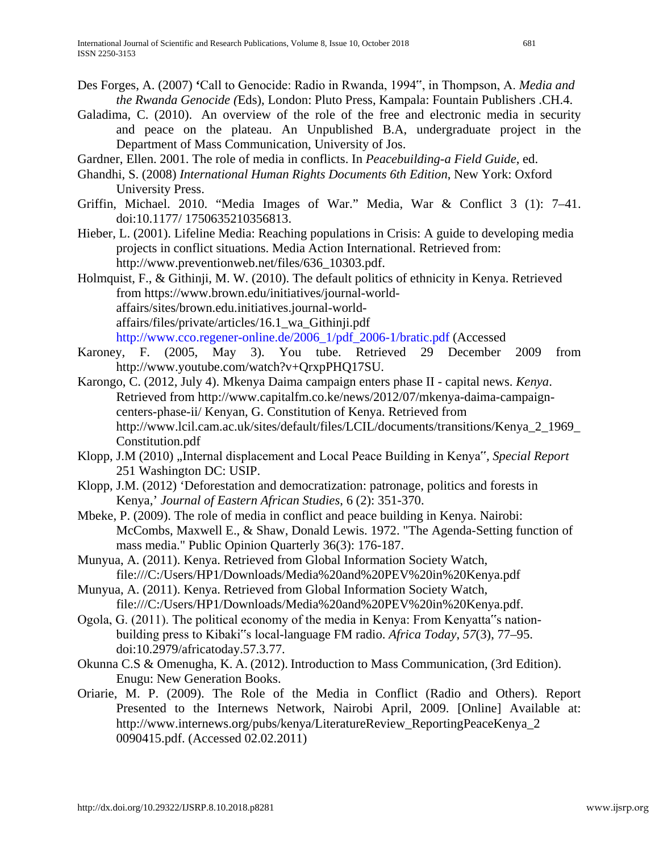- Des Forges, A. (2007) **'**Call to Genocide: Radio in Rwanda, 1994", in Thompson, A. *Media and the Rwanda Genocide (*Eds), London: Pluto Press, Kampala: Fountain Publishers .CH.4.
- Galadima, C. (2010). An overview of the role of the free and electronic media in security and peace on the plateau. An Unpublished B.A, undergraduate project in the Department of Mass Communication, University of Jos.
- Gardner, Ellen. 2001. The role of media in conflicts. In *Peacebuilding-a Field Guide*, ed.
- Ghandhi, S. (2008) *International Human Rights Documents 6th Edition*, New York: Oxford University Press.
- Griffin, Michael. 2010. "Media Images of War." Media, War & Conflict 3 (1): 7–41. doi:10.1177/ 1750635210356813.
- Hieber, L. (2001). Lifeline Media: Reaching populations in Crisis: A guide to developing media projects in conflict situations. Media Action International. Retrieved from: http://www.preventionweb.net/files/636\_10303.pdf.
- Holmquist, F., & Githinji, M. W. (2010). The default politics of ethnicity in Kenya. Retrieved from https://www.brown.edu/initiatives/journal-worldaffairs/sites/brown.edu.initiatives.journal-worldaffairs/files/private/articles/16.1\_wa\_Githinji.pdf http://www.cco.regener-online.de/2006\_1/pdf\_2006-1/bratic.pdf (Accessed
- Karoney, F. (2005, May 3). You tube. Retrieved 29 December 2009 from http://www.youtube.com/watch?v+QrxpPHQ17SU.
- Karongo, C. (2012, July 4). Mkenya Daima campaign enters phase II capital news. *Kenya*. Retrieved from http://www.capitalfm.co.ke/news/2012/07/mkenya-daima-campaigncenters-phase-ii/ Kenyan, G. Constitution of Kenya. Retrieved from http://www.lcil.cam.ac.uk/sites/default/files/LCIL/documents/transitions/Kenya\_2\_1969\_ Constitution.pdf
- Klopp, J.M (2010) "Internal displacement and Local Peace Building in Kenya", Special Report 251 Washington DC: USIP.
- Klopp, J.M. (2012) 'Deforestation and democratization: patronage, politics and forests in Kenya,' *Journal of Eastern African Studies*, 6 (2): 351-370.
- Mbeke, P. (2009). The role of media in conflict and peace building in Kenya. Nairobi: McCombs, Maxwell E., & Shaw, Donald Lewis. 1972. "The Agenda-Setting function of mass media." Public Opinion Quarterly 36(3): 176-187.
- Munyua, A. (2011). Kenya. Retrieved from Global Information Society Watch, file:///C:/Users/HP1/Downloads/Media%20and%20PEV%20in%20Kenya.pdf
- Munyua, A. (2011). Kenya. Retrieved from Global Information Society Watch, file:///C:/Users/HP1/Downloads/Media%20and%20PEV%20in%20Kenya.pdf.
- Ogola, G. (2011). The political economy of the media in Kenya: From Kenyatta"s nationbuilding press to Kibaki"s local-language FM radio. *Africa Today*, *57*(3), 77–95. doi:10.2979/africatoday.57.3.77.
- Okunna C.S & Omenugha, K. A. (2012). Introduction to Mass Communication, (3rd Edition). Enugu: New Generation Books.
- Oriarie, M. P. (2009). The Role of the Media in Conflict (Radio and Others). Report Presented to the Internews Network, Nairobi April, 2009. [Online] Available at: http://www.internews.org/pubs/kenya/LiteratureReview\_ReportingPeaceKenya\_2 0090415.pdf. (Accessed 02.02.2011)